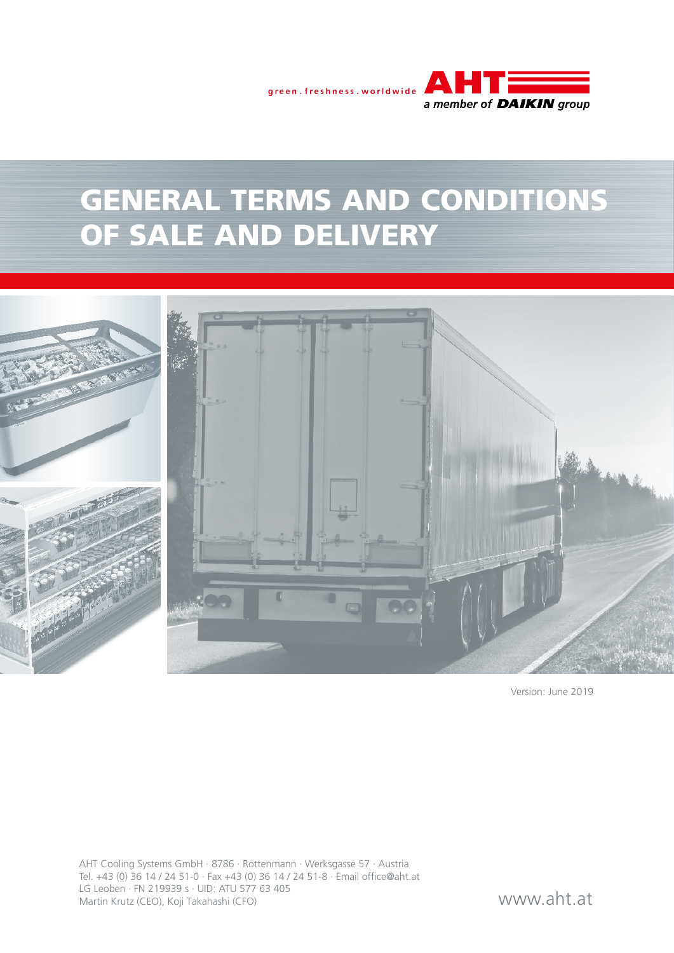

# GENERAL TERMS AND CONDITIONS OF SALE AND DELIVERY



Version: June 2019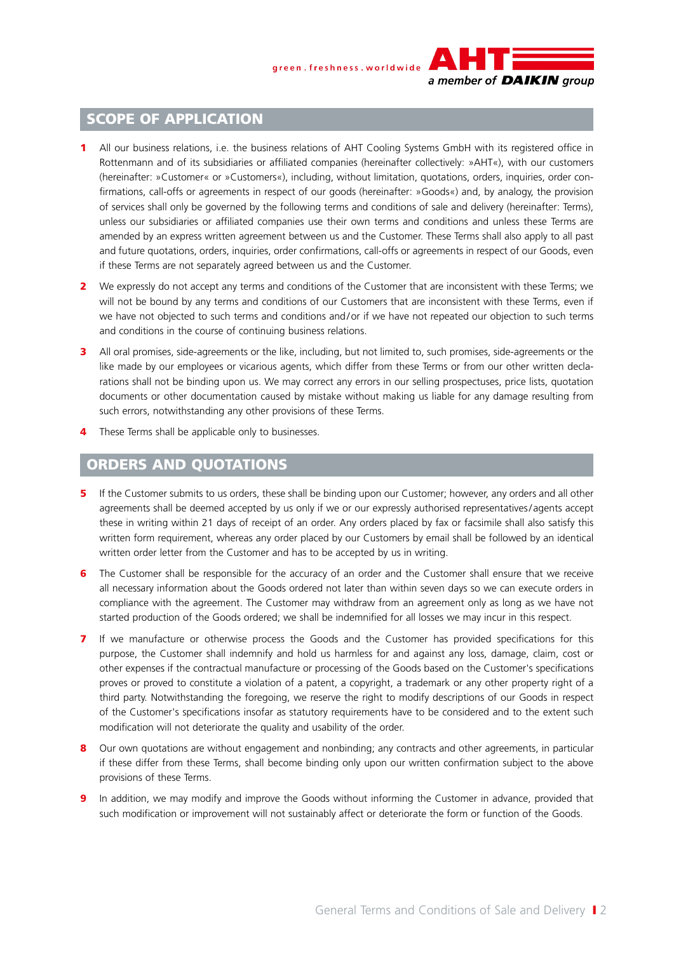

### SCOPE OF APPLICATION

- 1 All our business relations, i.e. the business relations of AHT Cooling Systems GmbH with its registered office in Rottenmann and of its subsidiaries or affiliated companies (hereinafter collectively: »AHT«), with our customers (hereinafter: »Customer« or »Customers«), including, without limitation, quotations, orders, inquiries, order confirmations, call-offs or agreements in respect of our goods (hereinafter: »Goods«) and, by analogy, the provision of services shall only be governed by the following terms and conditions of sale and delivery (hereinafter: Terms), unless our subsidiaries or affiliated companies use their own terms and conditions and unless these Terms are amended by an express written agreement between us and the Customer. These Terms shall also apply to all past and future quotations, orders, inquiries, order confirmations, call-offs or agreements in respect of our Goods, even if these Terms are not separately agreed between us and the Customer.
- 2 We expressly do not accept any terms and conditions of the Customer that are inconsistent with these Terms; we will not be bound by any terms and conditions of our Customers that are inconsistent with these Terms, even if we have not objected to such terms and conditions and/or if we have not repeated our objection to such terms and conditions in the course of continuing business relations.
- All oral promises, side-agreements or the like, including, but not limited to, such promises, side-agreements or the like made by our employees or vicarious agents, which differ from these Terms or from our other written declarations shall not be binding upon us. We may correct any errors in our selling prospectuses, price lists, quotation documents or other documentation caused by mistake without making us liable for any damage resulting from such errors, notwithstanding any other provisions of these Terms.
- **4** These Terms shall be applicable only to businesses.

# ORDERS AND QUOTATIONS

- 5 If the Customer submits to us orders, these shall be binding upon our Customer; however, any orders and all other agreements shall be deemed accepted by us only if we or our expressly authorised representatives/ agents accept these in writing within 21 days of receipt of an order. Any orders placed by fax or facsimile shall also satisfy this written form requirement, whereas any order placed by our Customers by email shall be followed by an identical written order letter from the Customer and has to be accepted by us in writing.
- 6 The Customer shall be responsible for the accuracy of an order and the Customer shall ensure that we receive all necessary information about the Goods ordered not later than within seven days so we can execute orders in compliance with the agreement. The Customer may withdraw from an agreement only as long as we have not started production of the Goods ordered; we shall be indemnified for all losses we may incur in this respect.
- 7 If we manufacture or otherwise process the Goods and the Customer has provided specifications for this purpose, the Customer shall indemnify and hold us harmless for and against any loss, damage, claim, cost or other expenses if the contractual manufacture or processing of the Goods based on the Customer's specifications proves or proved to constitute a violation of a patent, a copyright, a trademark or any other property right of a third party. Notwithstanding the foregoing, we reserve the right to modify descriptions of our Goods in respect of the Customer's specifications insofar as statutory requirements have to be considered and to the extent such modification will not deteriorate the quality and usability of the order.
- 8 Our own quotations are without engagement and nonbinding; any contracts and other agreements, in particular if these differ from these Terms, shall become binding only upon our written confirmation subject to the above provisions of these Terms.
- 9 In addition, we may modify and improve the Goods without informing the Customer in advance, provided that such modification or improvement will not sustainably affect or deteriorate the form or function of the Goods.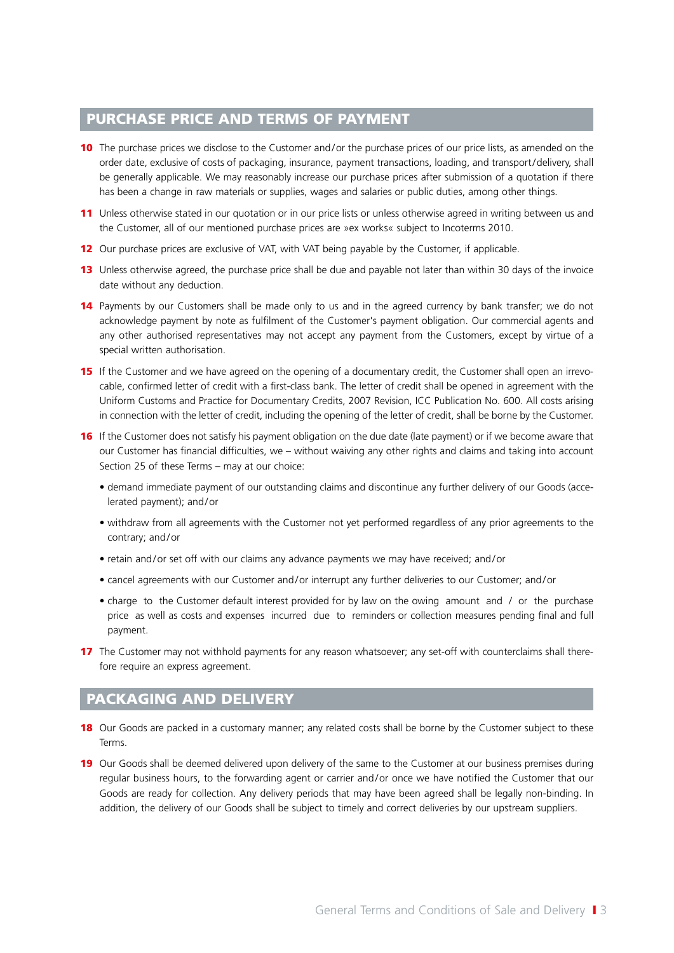# PURCHASE PRICE AND TERMS OF PAYMENT

- 10 The purchase prices we disclose to the Customer and/or the purchase prices of our price lists, as amended on the order date, exclusive of costs of packaging, insurance, payment transactions, loading, and transport/delivery, shall be generally applicable. We may reasonably increase our purchase prices after submission of a quotation if there has been a change in raw materials or supplies, wages and salaries or public duties, among other things.
- 11 Unless otherwise stated in our quotation or in our price lists or unless otherwise agreed in writing between us and the Customer, all of our mentioned purchase prices are »ex works« subject to Incoterms 2010.
- 12 Our purchase prices are exclusive of VAT, with VAT being payable by the Customer, if applicable.
- 13 Unless otherwise agreed, the purchase price shall be due and payable not later than within 30 days of the invoice date without any deduction.
- 14 Payments by our Customers shall be made only to us and in the agreed currency by bank transfer; we do not acknowledge payment by note as fulfilment of the Customer's payment obligation. Our commercial agents and any other authorised representatives may not accept any payment from the Customers, except by virtue of a special written authorisation.
- **15** If the Customer and we have agreed on the opening of a documentary credit, the Customer shall open an irrevocable, confirmed letter of credit with a first-class bank. The letter of credit shall be opened in agreement with the Uniform Customs and Practice for Documentary Credits, 2007 Revision, ICC Publication No. 600. All costs arising in connection with the letter of credit, including the opening of the letter of credit, shall be borne by the Customer.
- **16** If the Customer does not satisfy his payment obligation on the due date (late payment) or if we become aware that our Customer has financial difficulties, we – without waiving any other rights and claims and taking into account Section 25 of these Terms – may at our choice:
	- demand immediate payment of our outstanding claims and discontinue any further delivery of our Goods (accelerated payment); and/or
	- withdraw from all agreements with the Customer not yet performed regardless of any prior agreements to the contrary; and/or
	- retain and/or set off with our claims any advance payments we may have received; and/or
	- cancel agreements with our Customer and/or interrupt any further deliveries to our Customer; and/or
	- charge to the Customer default interest provided for by law on the owing amount and / or the purchase price as well as costs and expenses incurred due to reminders or collection measures pending final and full payment.
- 17 The Customer may not withhold payments for any reason whatsoever; any set-off with counterclaims shall therefore require an express agreement.

#### PACKAGING AND DELIVERY

- 18 Our Goods are packed in a customary manner; any related costs shall be borne by the Customer subject to these Terms.
- 19 Our Goods shall be deemed delivered upon delivery of the same to the Customer at our business premises during regular business hours, to the forwarding agent or carrier and/or once we have notified the Customer that our Goods are ready for collection. Any delivery periods that may have been agreed shall be legally non-binding. In addition, the delivery of our Goods shall be subject to timely and correct deliveries by our upstream suppliers.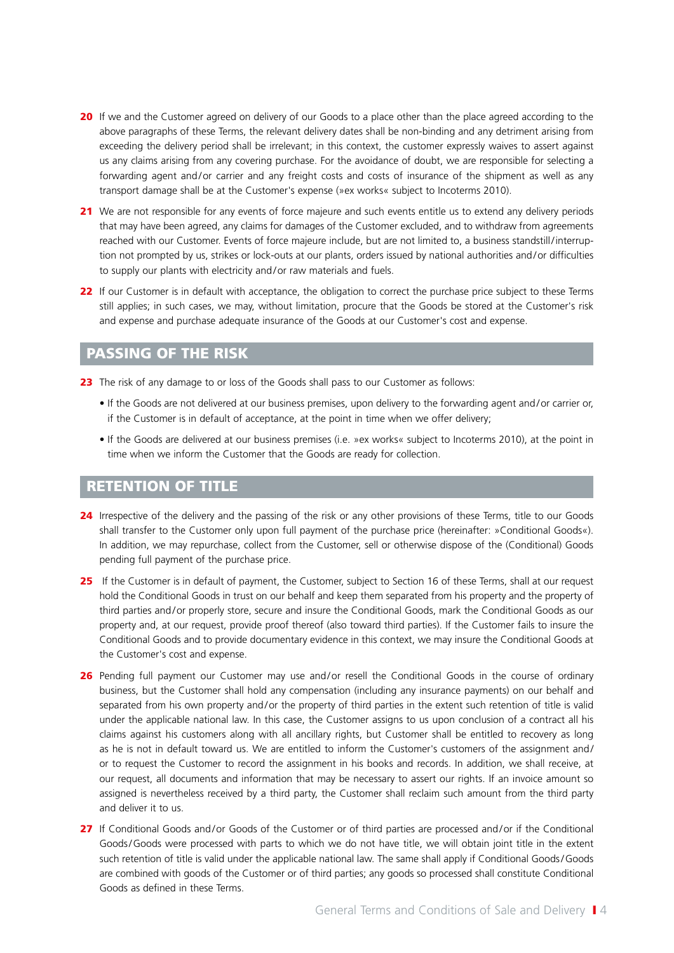- 20 If we and the Customer agreed on delivery of our Goods to a place other than the place agreed according to the above paragraphs of these Terms, the relevant delivery dates shall be non-binding and any detriment arising from exceeding the delivery period shall be irrelevant; in this context, the customer expressly waives to assert against us any claims arising from any covering purchase. For the avoidance of doubt, we are responsible for selecting a forwarding agent and/or carrier and any freight costs and costs of insurance of the shipment as well as any transport damage shall be at the Customer's expense (»ex works« subject to Incoterms 2010).
- 21 We are not responsible for any events of force majeure and such events entitle us to extend any delivery periods that may have been agreed, any claims for damages of the Customer excluded, and to withdraw from agreements reached with our Customer. Events of force majeure include, but are not limited to, a business standstill/interruption not prompted by us, strikes or lock-outs at our plants, orders issued by national authorities and/or difficulties to supply our plants with electricity and/or raw materials and fuels.
- 22 If our Customer is in default with acceptance, the obligation to correct the purchase price subject to these Terms still applies; in such cases, we may, without limitation, procure that the Goods be stored at the Customer's risk and expense and purchase adequate insurance of the Goods at our Customer's cost and expense.

# PASSING OF THE RISK

23 The risk of any damage to or loss of the Goods shall pass to our Customer as follows:

- If the Goods are not delivered at our business premises, upon delivery to the forwarding agent and/or carrier or, if the Customer is in default of acceptance, at the point in time when we offer delivery;
- If the Goods are delivered at our business premises (i.e. »ex works« subject to Incoterms 2010), at the point in time when we inform the Customer that the Goods are ready for collection.

#### RETENTION OF TITLE

- 24 Irrespective of the delivery and the passing of the risk or any other provisions of these Terms, title to our Goods shall transfer to the Customer only upon full payment of the purchase price (hereinafter: »Conditional Goods«). In addition, we may repurchase, collect from the Customer, sell or otherwise dispose of the (Conditional) Goods pending full payment of the purchase price.
- 25 If the Customer is in default of payment, the Customer, subject to Section 16 of these Terms, shall at our request hold the Conditional Goods in trust on our behalf and keep them separated from his property and the property of third parties and/or properly store, secure and insure the Conditional Goods, mark the Conditional Goods as our property and, at our request, provide proof thereof (also toward third parties). If the Customer fails to insure the Conditional Goods and to provide documentary evidence in this context, we may insure the Conditional Goods at the Customer's cost and expense.
- 26 Pending full payment our Customer may use and/or resell the Conditional Goods in the course of ordinary business, but the Customer shall hold any compensation (including any insurance payments) on our behalf and separated from his own property and/or the property of third parties in the extent such retention of title is valid under the applicable national law. In this case, the Customer assigns to us upon conclusion of a contract all his claims against his customers along with all ancillary rights, but Customer shall be entitled to recovery as long as he is not in default toward us. We are entitled to inform the Customer's customers of the assignment and/ or to request the Customer to record the assignment in his books and records. In addition, we shall receive, at our request, all documents and information that may be necessary to assert our rights. If an invoice amount so assigned is nevertheless received by a third party, the Customer shall reclaim such amount from the third party and deliver it to us.
- 27 If Conditional Goods and/or Goods of the Customer or of third parties are processed and/or if the Conditional Goods/Goods were processed with parts to which we do not have title, we will obtain joint title in the extent such retention of title is valid under the applicable national law. The same shall apply if Conditional Goods/Goods are combined with goods of the Customer or of third parties; any goods so processed shall constitute Conditional Goods as defined in these Terms.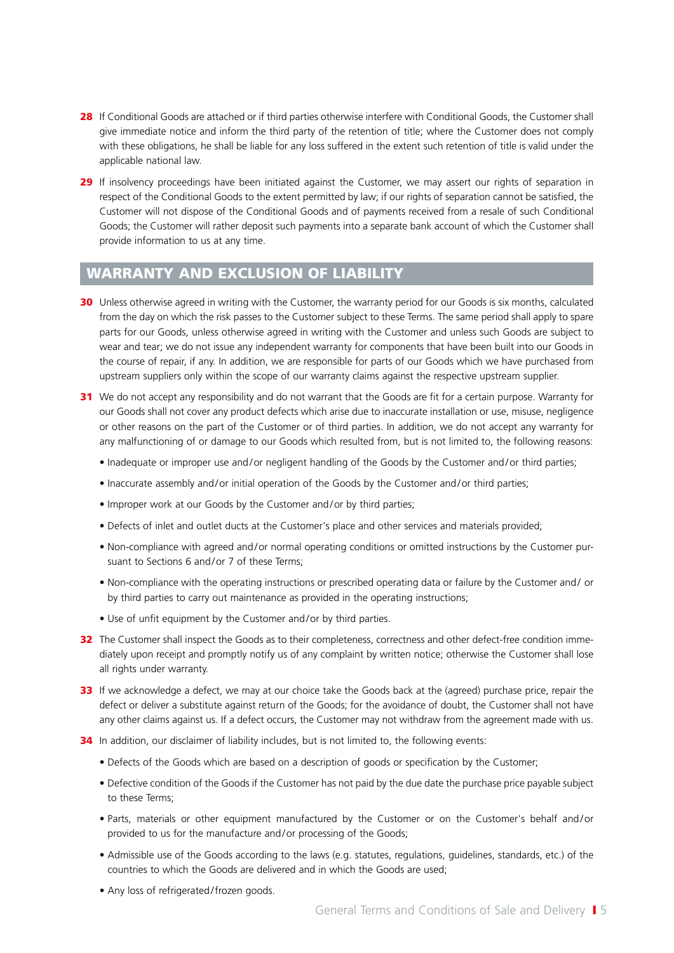- 28 If Conditional Goods are attached or if third parties otherwise interfere with Conditional Goods, the Customer shall give immediate notice and inform the third party of the retention of title; where the Customer does not comply with these obligations, he shall be liable for any loss suffered in the extent such retention of title is valid under the applicable national law.
- 29 If insolvency proceedings have been initiated against the Customer, we may assert our rights of separation in respect of the Conditional Goods to the extent permitted by law; if our rights of separation cannot be satisfied, the Customer will not dispose of the Conditional Goods and of payments received from a resale of such Conditional Goods; the Customer will rather deposit such payments into a separate bank account of which the Customer shall provide information to us at any time.

# WARRANTY AND EXCLUSION OF LIABILITY

- 30 Unless otherwise agreed in writing with the Customer, the warranty period for our Goods is six months, calculated from the day on which the risk passes to the Customer subject to these Terms. The same period shall apply to spare parts for our Goods, unless otherwise agreed in writing with the Customer and unless such Goods are subject to wear and tear; we do not issue any independent warranty for components that have been built into our Goods in the course of repair, if any. In addition, we are responsible for parts of our Goods which we have purchased from upstream suppliers only within the scope of our warranty claims against the respective upstream supplier.
- 31 We do not accept any responsibility and do not warrant that the Goods are fit for a certain purpose. Warranty for our Goods shall not cover any product defects which arise due to inaccurate installation or use, misuse, negligence or other reasons on the part of the Customer or of third parties. In addition, we do not accept any warranty for any malfunctioning of or damage to our Goods which resulted from, but is not limited to, the following reasons:
	- Inadequate or improper use and/or negligent handling of the Goods by the Customer and/or third parties;
	- Inaccurate assembly and/or initial operation of the Goods by the Customer and/or third parties;
	- Improper work at our Goods by the Customer and/or by third parties;
	- Defects of inlet and outlet ducts at the Customer's place and other services and materials provided;
	- Non-compliance with agreed and/or normal operating conditions or omitted instructions by the Customer pursuant to Sections 6 and/or 7 of these Terms;
	- Non-compliance with the operating instructions or prescribed operating data or failure by the Customer and/ or by third parties to carry out maintenance as provided in the operating instructions;
	- Use of unfit equipment by the Customer and/or by third parties.
- 32 The Customer shall inspect the Goods as to their completeness, correctness and other defect-free condition immediately upon receipt and promptly notify us of any complaint by written notice; otherwise the Customer shall lose all rights under warranty.
- 33 If we acknowledge a defect, we may at our choice take the Goods back at the (agreed) purchase price, repair the defect or deliver a substitute against return of the Goods; for the avoidance of doubt, the Customer shall not have any other claims against us. If a defect occurs, the Customer may not withdraw from the agreement made with us.
- 34 In addition, our disclaimer of liability includes, but is not limited to, the following events:
	- Defects of the Goods which are based on a description of goods or specification by the Customer;
	- Defective condition of the Goods if the Customer has not paid by the due date the purchase price payable subject to these Terms;
	- Parts, materials or other equipment manufactured by the Customer or on the Customer's behalf and/or provided to us for the manufacture and/or processing of the Goods;
	- Admissible use of the Goods according to the laws (e.g. statutes, regulations, guidelines, standards, etc.) of the countries to which the Goods are delivered and in which the Goods are used;
	- Any loss of refrigerated/frozen goods.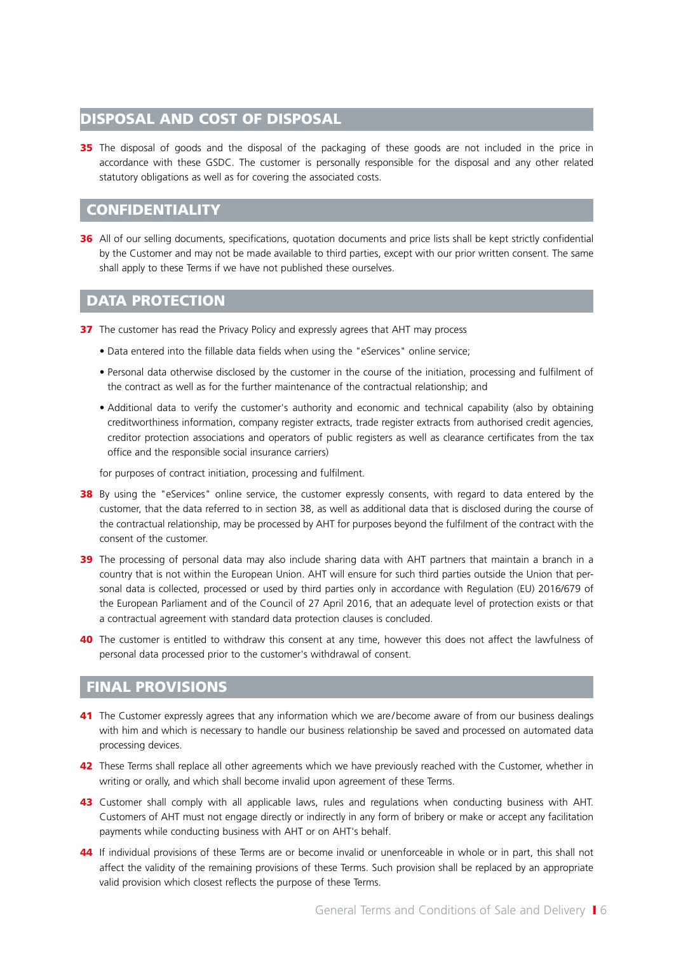#### DISPOSAL AND COST OF DISPOSAL

**35** The disposal of goods and the disposal of the packaging of these goods are not included in the price in accordance with these GSDC. The customer is personally responsible for the disposal and any other related statutory obligations as well as for covering the associated costs.

#### **CONFIDENTIALITY**

36 All of our selling documents, specifications, quotation documents and price lists shall be kept strictly confidential by the Customer and may not be made available to third parties, except with our prior written consent. The same shall apply to these Terms if we have not published these ourselves.

#### DATA PROTECTION

37 The customer has read the Privacy Policy and expressly agrees that AHT may process

- Data entered into the fillable data fields when using the "eServices" online service;
- Personal data otherwise disclosed by the customer in the course of the initiation, processing and fulfilment of the contract as well as for the further maintenance of the contractual relationship; and
- Additional data to verify the customer's authority and economic and technical capability (also by obtaining creditworthiness information, company register extracts, trade register extracts from authorised credit agencies, creditor protection associations and operators of public registers as well as clearance certificates from the tax office and the responsible social insurance carriers)

for purposes of contract initiation, processing and fulfilment.

- 38 By using the "eServices" online service, the customer expressly consents, with regard to data entered by the customer, that the data referred to in section 38, as well as additional data that is disclosed during the course of the contractual relationship, may be processed by AHT for purposes beyond the fulfilment of the contract with the consent of the customer.
- 39 The processing of personal data may also include sharing data with AHT partners that maintain a branch in a country that is not within the European Union. AHT will ensure for such third parties outside the Union that personal data is collected, processed or used by third parties only in accordance with Regulation (EU) 2016/679 of the European Parliament and of the Council of 27 April 2016, that an adequate level of protection exists or that a contractual agreement with standard data protection clauses is concluded.
- 40 The customer is entitled to withdraw this consent at any time, however this does not affect the lawfulness of personal data processed prior to the customer's withdrawal of consent.

# FINAL PROVISIONS

- 41 The Customer expressly agrees that any information which we are/become aware of from our business dealings with him and which is necessary to handle our business relationship be saved and processed on automated data processing devices.
- 42 These Terms shall replace all other agreements which we have previously reached with the Customer, whether in writing or orally, and which shall become invalid upon agreement of these Terms.
- 43 Customer shall comply with all applicable laws, rules and regulations when conducting business with AHT. Customers of AHT must not engage directly or indirectly in any form of bribery or make or accept any facilitation payments while conducting business with AHT or on AHT's behalf.
- 44 If individual provisions of these Terms are or become invalid or unenforceable in whole or in part, this shall not affect the validity of the remaining provisions of these Terms. Such provision shall be replaced by an appropriate valid provision which closest reflects the purpose of these Terms.